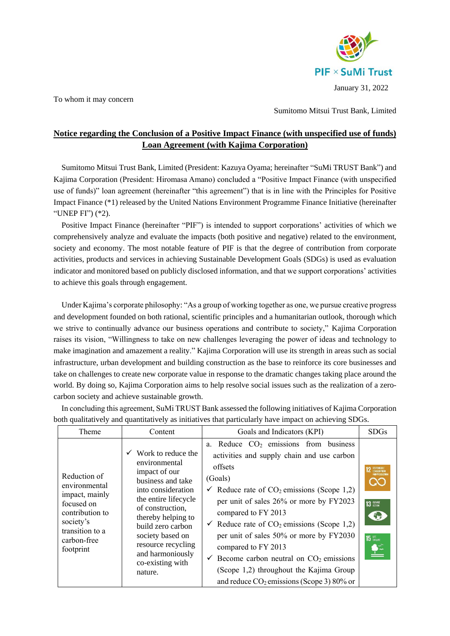

To whom it may concern

Sumitomo Mitsui Trust Bank, Limited

## **Notice regarding the Conclusion of a Positive Impact Finance (with unspecified use of funds) Loan Agreement (with Kajima Corporation)**

Sumitomo Mitsui Trust Bank, Limited (President: Kazuya Oyama; hereinafter "SuMi TRUST Bank") and Kajima Corporation (President: Hiromasa Amano) concluded a "Positive Impact Finance (with unspecified use of funds)" loan agreement (hereinafter "this agreement") that is in line with the Principles for Positive Impact Finance (\*1) released by the United Nations Environment Programme Finance Initiative (hereinafter "UNEP FI") (\*2).

Positive Impact Finance (hereinafter "PIF") is intended to support corporations' activities of which we comprehensively analyze and evaluate the impacts (both positive and negative) related to the environment, society and economy. The most notable feature of PIF is that the degree of contribution from corporate activities, products and services in achieving Sustainable Development Goals (SDGs) is used as evaluation indicator and monitored based on publicly disclosed information, and that we support corporations' activities to achieve this goals through engagement.

Under Kajima's corporate philosophy: "As a group of working together as one, we pursue creative progress and development founded on both rational, scientific principles and a humanitarian outlook, thorough which we strive to continually advance our business operations and contribute to society," Kajima Corporation raises its vision, "Willingness to take on new challenges leveraging the power of ideas and technology to make imagination and amazement a reality." Kajima Corporation will use its strength in areas such as social infrastructure, urban development and building construction as the base to reinforce its core businesses and take on challenges to create new corporate value in response to the dramatic changes taking place around the world. By doing so, Kajima Corporation aims to help resolve social issues such as the realization of a zerocarbon society and achieve sustainable growth.

In concluding this agreement, SuMi TRUST Bank assessed the following initiatives of Kajima Corporation both qualitatively and quantitatively as initiatives that particularly have impact on achieving SDGs.

| Theme                                                                                                                                        | Content                                                                                                                                                                                                                                                                             | Goals and Indicators (KPI)                                                                                                                                                                                                                                                                                                                                                                                                                                                                                                                                        | <b>SDGs</b>                              |
|----------------------------------------------------------------------------------------------------------------------------------------------|-------------------------------------------------------------------------------------------------------------------------------------------------------------------------------------------------------------------------------------------------------------------------------------|-------------------------------------------------------------------------------------------------------------------------------------------------------------------------------------------------------------------------------------------------------------------------------------------------------------------------------------------------------------------------------------------------------------------------------------------------------------------------------------------------------------------------------------------------------------------|------------------------------------------|
| Reduction of<br>environmental<br>impact, mainly<br>focused on<br>contribution to<br>society's<br>transition to a<br>carbon-free<br>footprint | Work to reduce the<br>environmental<br>impact of our<br>business and take<br>into consideration<br>the entire lifecycle<br>of construction,<br>thereby helping to<br>build zero carbon<br>society based on<br>resource recycling<br>and harmoniously<br>co-existing with<br>nature. | a. Reduce CO <sub>2</sub> emissions from business<br>activities and supply chain and use carbon<br>offsets<br>(Goals)<br>$\checkmark$ Reduce rate of CO <sub>2</sub> emissions (Scope 1,2)<br>per unit of sales 26% or more by FY2023<br>compared to FY 2013<br>$\checkmark$ Reduce rate of CO <sub>2</sub> emissions (Scope 1,2)<br>per unit of sales 50% or more by FY2030<br>compared to FY 2013<br>$\checkmark$ Become carbon neutral on CO <sub>2</sub> emissions<br>(Scope 1,2) throughout the Kajima Group<br>and reduce $CO_2$ emissions (Scope 3) 80% or | $\bullet$<br>13 SCTION<br><b>15 LIFE</b> |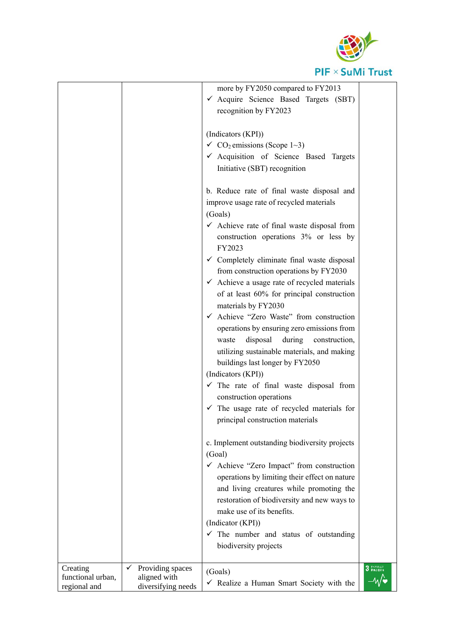

|                                               |                                                             | more by FY2050 compared to FY2013<br>✔ Acquire Science Based Targets (SBT)<br>recognition by FY2023                                                                                                                                                                                                                                                                                          |          |
|-----------------------------------------------|-------------------------------------------------------------|----------------------------------------------------------------------------------------------------------------------------------------------------------------------------------------------------------------------------------------------------------------------------------------------------------------------------------------------------------------------------------------------|----------|
|                                               |                                                             | (Indicators (KPI))<br>$\checkmark$ CO <sub>2</sub> emissions (Scope 1~3)<br>√ Acquisition of Science Based Targets<br>Initiative (SBT) recognition                                                                                                                                                                                                                                           |          |
|                                               |                                                             | b. Reduce rate of final waste disposal and<br>improve usage rate of recycled materials<br>(Goals)<br>$\checkmark$ Achieve rate of final waste disposal from                                                                                                                                                                                                                                  |          |
|                                               |                                                             | construction operations 3% or less by<br>FY2023<br>$\checkmark$ Completely eliminate final waste disposal<br>from construction operations by FY2030<br>$\checkmark$ Achieve a usage rate of recycled materials<br>of at least 60% for principal construction                                                                                                                                 |          |
|                                               |                                                             | materials by FY2030<br>✔ Achieve "Zero Waste" from construction<br>operations by ensuring zero emissions from<br>disposal<br>during<br>construction,<br>waste<br>utilizing sustainable materials, and making                                                                                                                                                                                 |          |
|                                               |                                                             | buildings last longer by FY2050<br>(Indicators (KPI))<br>$\checkmark$ The rate of final waste disposal from<br>construction operations<br>$\checkmark$ The usage rate of recycled materials for<br>principal construction materials                                                                                                                                                          |          |
|                                               |                                                             | c. Implement outstanding biodiversity projects<br>(Goal)<br>$\checkmark$ Achieve "Zero Impact" from construction<br>operations by limiting their effect on nature<br>and living creatures while promoting the<br>restoration of biodiversity and new ways to<br>make use of its benefits.<br>(Indicator (KPI))<br>$\checkmark$ The number and status of outstanding<br>biodiversity projects |          |
| Creating<br>functional urban,<br>regional and | Providing spaces<br>✓<br>aligned with<br>diversifying needs | (Goals)<br>$\checkmark$ Realize a Human Smart Society with the                                                                                                                                                                                                                                                                                                                               | 3 FATOAD |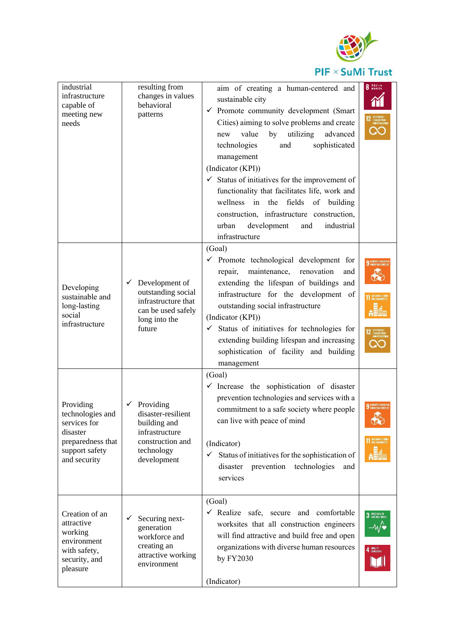

## PIF × SuMi Trust

| industrial<br>infrastructure<br>capable of<br>meeting new<br>needs                                               | resulting from<br>changes in values<br>behavioral<br>patterns                                                           | aim of creating a human-centered and<br>sustainable city<br>$\checkmark$ Promote community development (Smart<br>Cities) aiming to solve problems and create<br>utilizing<br>value<br>advanced<br>by<br>new<br>sophisticated<br>technologies<br>and<br>management<br>(Indicator (KPI))<br>$\checkmark$ Status of initiatives for the improvement of<br>functionality that facilitates life, work and<br>wellness in the fields<br>of building<br>construction, infrastructure construction,<br>development<br>industrial<br>urban<br>and<br>infrastructure | 8 Barves                                                |
|------------------------------------------------------------------------------------------------------------------|-------------------------------------------------------------------------------------------------------------------------|------------------------------------------------------------------------------------------------------------------------------------------------------------------------------------------------------------------------------------------------------------------------------------------------------------------------------------------------------------------------------------------------------------------------------------------------------------------------------------------------------------------------------------------------------------|---------------------------------------------------------|
| Developing<br>sustainable and<br>long-lasting<br>social<br>infrastructure                                        | Development of<br>✓<br>outstanding social<br>infrastructure that<br>can be used safely<br>long into the<br>future       | (Goal)<br>$\checkmark$ Promote technological development for<br>maintenance,<br>renovation<br>repair,<br>and<br>extending the lifespan of buildings and<br>infrastructure for the development of<br>outstanding social infrastructure<br>(Indicator (KPI))<br>Status of initiatives for technologies for<br>$\checkmark$<br>extending building lifespan and increasing<br>sophistication of facility and building<br>management                                                                                                                            |                                                         |
| Providing<br>technologies and<br>services for<br>disaster<br>preparedness that<br>support safety<br>and security | Providing<br>✓<br>disaster-resilient<br>building and<br>infrastructure<br>construction and<br>technology<br>development | (Goal)<br>$\checkmark$ Increase the sophistication of disaster<br>prevention technologies and services with a<br>commitment to a safe society where people<br>can live with peace of mind<br>(Indicator)<br>Status of initiatives for the sophistication of<br>$\checkmark$<br>prevention<br>technologies<br>disaster<br>and<br>services                                                                                                                                                                                                                   | $\infty$<br><b>11 SUSTAINABLE CITIE</b>                 |
| Creation of an<br>attractive<br>working<br>environment<br>with safety,<br>security, and<br>pleasure              | Securing next-<br>✓<br>generation<br>workforce and<br>creating an<br>attractive working<br>environment                  | (Goal)<br>← Realize safe, secure and comfortable<br>worksites that all construction engineers<br>will find attractive and build free and open<br>organizations with diverse human resources<br>by FY2030<br>(Indicator)                                                                                                                                                                                                                                                                                                                                    | 3 6000 MEALTH<br>3 AND WELL-BEING<br>–⁄v⁄∙<br>4 BUALITY |